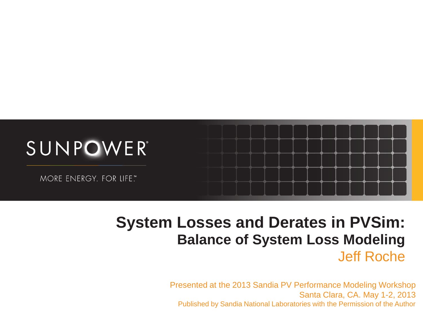

#### **System Losses and Derates in PVSim: Balance of System Loss Modeling** Jeff Roche

Presented at the 2013 Sandia PV Performance Modeling Workshop Santa Clara, CA. May 1-2, 2013 Published by Sandia National Laboratories with the Permission of the Author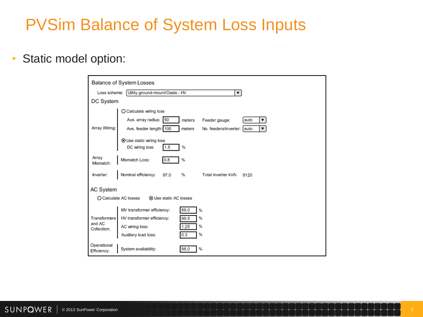#### PVSim Balance of System Loss Inputs

• Static model option:

| <b>Balance of System Losses</b>                                            |                                                                                                                                         |                                                                                        |  |  |  |  |  |
|----------------------------------------------------------------------------|-----------------------------------------------------------------------------------------------------------------------------------------|----------------------------------------------------------------------------------------|--|--|--|--|--|
| Loss scheme: Utility ground-mount/Oasis - HV<br>▼                          |                                                                                                                                         |                                                                                        |  |  |  |  |  |
| DC System                                                                  |                                                                                                                                         |                                                                                        |  |  |  |  |  |
| Array Wiring:                                                              | O Calculate wiring loss<br>Ave. array radius: 50<br>Ave. feeder length: 100<br><b>O Use static wiring loss</b><br>DC wiring loss<br>1.5 | auto<br>Feeder gauge:<br>meters<br>▼<br>meters<br>No. feeders/inverter: auto<br>▼<br>% |  |  |  |  |  |
| Array<br>Mismatch:                                                         | Mismatch Loss:<br>0.8                                                                                                                   | %                                                                                      |  |  |  |  |  |
| Inverter:                                                                  | Nominal efficiency:<br>97.0                                                                                                             | %<br>Total inverter kVA:<br>9120                                                       |  |  |  |  |  |
| <b>AC System</b><br>O Calculate AC losses<br><b>O Use static AC losses</b> |                                                                                                                                         |                                                                                        |  |  |  |  |  |
| <b>Transformers</b><br>and AC<br>Collection:                               | MV transformer efficiency:<br>HV transformer efficiency:<br>AC wiring loss:<br>Auxiliary load loss:                                     | 99.0<br>%<br>%<br>99.5<br>$\frac{9}{6}$<br>1.25<br>%<br>0.3                            |  |  |  |  |  |
| Operational<br>Efficiency:                                                 | System availability:                                                                                                                    | 98.0<br>%                                                                              |  |  |  |  |  |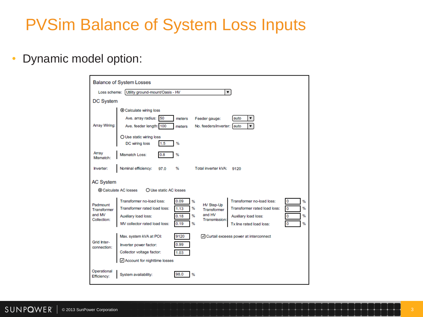#### PVSim Balance of System Loss Inputs

• Dynamic model option:

| <b>Balance of System Losses</b>                                         |                                                                                                                                                                                                                                                                                                                                                                                                                                            |  |  |  |  |  |  |
|-------------------------------------------------------------------------|--------------------------------------------------------------------------------------------------------------------------------------------------------------------------------------------------------------------------------------------------------------------------------------------------------------------------------------------------------------------------------------------------------------------------------------------|--|--|--|--|--|--|
| Loss scheme: Utility ground-mount/Oasis - HV<br>$\overline{\mathbf{v}}$ |                                                                                                                                                                                                                                                                                                                                                                                                                                            |  |  |  |  |  |  |
| <b>DC System</b>                                                        |                                                                                                                                                                                                                                                                                                                                                                                                                                            |  |  |  |  |  |  |
| Array Wiring:                                                           | ◎ Calculate wiring loss<br>Ave. array radius:<br>50<br>auto<br>Feeder gauge:<br>▼<br>meters<br>Ave. feeder length: 100<br>No. feeders/inverter:<br>lauto<br>▼<br>meters<br>O Use static wiring loss<br>DC wiring loss<br>1.5<br>%                                                                                                                                                                                                          |  |  |  |  |  |  |
| Array<br>Mismatch:                                                      | %<br><b>Mismatch Loss:</b><br>0.8                                                                                                                                                                                                                                                                                                                                                                                                          |  |  |  |  |  |  |
| Inverter:                                                               | Nominal efficiency:<br>%<br>Total inverter kVA:<br>97.0<br>9120                                                                                                                                                                                                                                                                                                                                                                            |  |  |  |  |  |  |
| <b>AC System</b>                                                        |                                                                                                                                                                                                                                                                                                                                                                                                                                            |  |  |  |  |  |  |
| ⊙ Calculate AC losses<br>O Use static AC losses                         |                                                                                                                                                                                                                                                                                                                                                                                                                                            |  |  |  |  |  |  |
| Padmount<br><b>Transformer</b><br>and MV<br>Collection:                 | Transformer no-load loss:<br>Transformer no-load loss:<br>0.09<br>$\bf{0}$<br>%<br>%<br><b>HV Step-Up</b><br>%<br>Transformer rated load loss:<br>%<br><b>Transformer rated load loss:</b><br>0<br>1.13<br>Transformer<br>and HV<br>%<br>%<br>$\bf{0}$<br>Auxiliary load loss:<br>0.18<br>Auxiliary load loss:<br>Transmission:<br>$\mathbf{0}$<br>$\frac{9}{6}$<br>MV collector rated load loss:<br>0.19<br>%<br>Tx line rated load loss: |  |  |  |  |  |  |
| Grid Inter-<br>connection:                                              | Max. system kVA at POI:<br>9120<br>C Curtail exceess power at interconnect<br>0.99<br>Inverter power factor:<br>Collector voltage factor:<br>1.03<br>○ Account for nighttime losses                                                                                                                                                                                                                                                        |  |  |  |  |  |  |
| Operational<br>Efficiency:                                              | 98.0<br>System availability:<br>%                                                                                                                                                                                                                                                                                                                                                                                                          |  |  |  |  |  |  |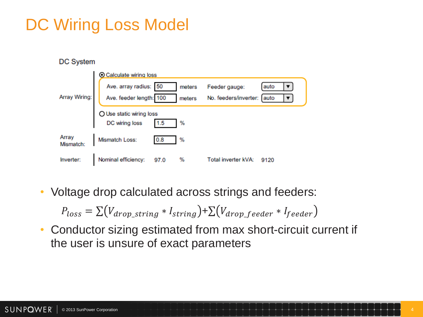## DC Wiring Loss Model

**DC System** 

|                    | <b>⊙</b> Calculate wiring loss                   |      |                  |                                        |              |  |  |  |
|--------------------|--------------------------------------------------|------|------------------|----------------------------------------|--------------|--|--|--|
| Array Wiring:      | Ave. array radius: 50<br>Ave. feeder length: 100 |      | meters<br>meters | Feeder gauge:<br>No. feeders/inverter: | auto<br>auto |  |  |  |
|                    | O Use static wiring loss<br>DC wiring loss       | 1.5  | %                |                                        |              |  |  |  |
| Array<br>Mismatch: | Mismatch Loss:                                   | 0.8  | %                |                                        |              |  |  |  |
| Inverter:          | Nominal efficiency:                              | 97.0 | %                | Total inverter kVA:                    | 9120         |  |  |  |

• Voltage drop calculated across strings and feeders:

$$
P_{loss} = \sum (V_{drop\_string} * I_{string}) + \sum (V_{drop\_feeder} * I_{feeder})
$$

• Conductor sizing estimated from max short-circuit current if the user is unsure of exact parameters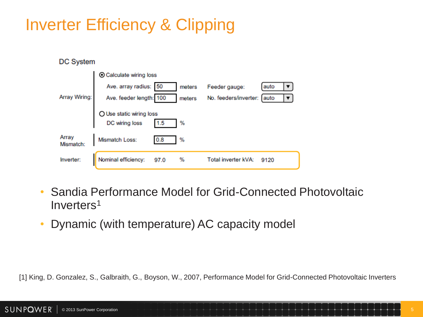### Inverter Efficiency & Clipping

DC System

| -------            |                          |      |        |                       |      |  |  |  |
|--------------------|--------------------------|------|--------|-----------------------|------|--|--|--|
|                    | ⊙ Calculate wiring loss  |      |        |                       |      |  |  |  |
|                    | Ave. array radius: 50    |      | meters | Feeder gauge:         | auto |  |  |  |
| Array Wiring:      | Ave. feeder length: 100  |      | meters | No. feeders/inverter: | auto |  |  |  |
|                    | O Use static wiring loss |      |        |                       |      |  |  |  |
|                    | DC wiring loss           | 1.5  | %      |                       |      |  |  |  |
| Array<br>Mismatch: | Mismatch Loss:           | 0.8  | %      |                       |      |  |  |  |
| Inverter:          | Nominal efficiency:      | 97.0 | %      | Total inverter kVA:   | 9120 |  |  |  |

- Sandia Performance Model for Grid-Connected Photovoltaic Inverters<sup>1</sup>
- Dynamic (with temperature) AC capacity model

[1] King, D. Gonzalez, S., Galbraith, G., Boyson, W., 2007, Performance Model for Grid-Connected Photovoltaic Inverters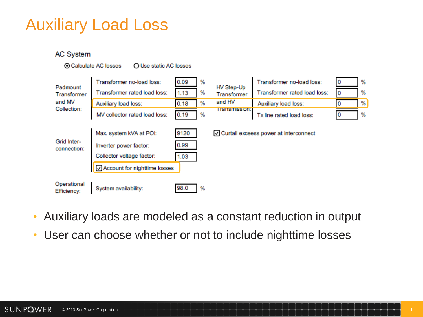#### Auxiliary Load Loss

**AC System** 

⊙ Calculate AC losses

○ Use static AC losses



- Auxiliary loads are modeled as a constant reduction in output
- User can choose whether or not to include nighttime losses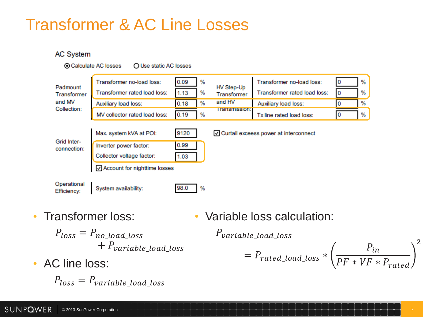#### Transformer & AC Line Losses

#### **AC System**

⊙Calculate AC losses ○ Use static AC losses

Transformer no-load loss: 0.09 Transformer no-load loss: % %  $\bf{0}$ Padmount HV Step-Up Transformer rated load loss: 1.13 Transformer rated load loss:  $\frac{9}{6}$ %  $\bf{0}$ Transformer Transformer and MV and HV Auxiliary load loss:  $0.18$ % Auxiliary load loss: 0 % Collection: **Transmission** MV collector rated load loss:  $0.19$ 0  $%$ % Tx line rated load loss: Max. system kVA at POI: 9120 ◯ Curtail exceess power at interconnect Grid Inter-Inverter power factor: 0.99 connection:

%

1.03

Operational System availability: 98.0 Efficiency:

Collector voltage factor:

◯ Account for nighttime losses

• Transformer loss:

• Variable loss calculation:

 $= P_{rated\_load\_loss} *$ 

Pvariable\_load\_loss

 $P_{loss} = P_{no\_load\_loss}$  $+ P_{variable\_load\_loss}$ 

• AC line loss:

 $P_{loss} = P_{variable\ load\ loss}$ 

2

 $P_{in}$ 

 $PF * VF * P_{rated}$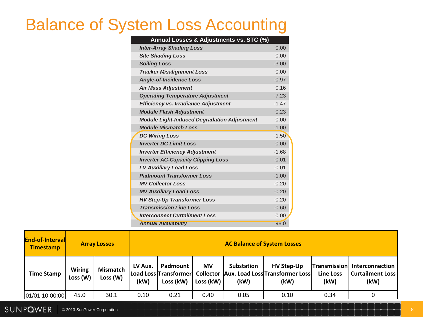#### Balance of System Loss Accounting

| Annual Losses & Adjustments vs. STC (%)            |         |
|----------------------------------------------------|---------|
| <b>Inter-Array Shading Loss</b>                    | 0.00    |
| <b>Site Shading Loss</b>                           | 0.00    |
| <b>Soiling Loss</b>                                | $-3.00$ |
| <b>Tracker Misalignment Loss</b>                   | 0.00    |
| <b>Angle-of-Incidence Loss</b>                     | $-0.97$ |
| <b>Air Mass Adjustment</b>                         | 0.16    |
| <b>Operating Temperature Adjustment</b>            | $-7.23$ |
| <b>Efficiency vs. Irradiance Adjustment</b>        | $-1.47$ |
| <b>Module Flash Adjustment</b>                     | 0.23    |
| <b>Module Light-Induced Degradation Adjustment</b> | 0.00    |
| <b>Module Mismatch Loss</b>                        | $-1.00$ |
| <b>DC Wiring Loss</b>                              | $-1.50$ |
| <b>Inverter DC Limit Loss</b>                      | 0.00    |
| <b>Inverter Efficiency Adjustment</b>              | $-1.68$ |
| <b>Inverter AC-Capacity Clipping Loss</b>          | $-0.01$ |
| <b>LV Auxiliary Load Loss</b>                      | $-0.01$ |
| <b>Padmount Transformer Loss</b>                   | $-1.00$ |
| <b>MV Collector Loss</b>                           | $-0.20$ |
| <b>MV Auxiliary Load Loss</b>                      | $-0.20$ |
| <b>HV Step-Up Transformer Loss</b>                 | $-0.20$ |
| <b>Transmission Line Loss</b>                      | $-0.60$ |
| <b>Interconnect Curtailment Loss</b>               | 0.00    |
| <b>Annual Availability</b>                         | 98.0    |

| End-of-Interval<br>  Timestamp |                   | <b>Array Losses</b>         | <b>AC Balance of System Losses</b> |                                                  |                        |                    |                                                                        |                          |                                                                 |
|--------------------------------|-------------------|-----------------------------|------------------------------------|--------------------------------------------------|------------------------|--------------------|------------------------------------------------------------------------|--------------------------|-----------------------------------------------------------------|
| <b>Time Stamp</b>              | Wiring<br>Loss(W) | <b>Mismatch</b><br>Loss (W) | LV Aux.<br>(kW)                    | Padmount<br> Load Loss Transformer <br>Loss (kW) | <b>MV</b><br>Loss (kW) | Substation<br>(kW) | <b>HV Step-Up</b><br>Collector Aux. Load Loss Transformer Loss<br>(kW) | <b>Line Loss</b><br>(kW) | Transmission Interconnection<br><b>Curtailment Loss</b><br>(kW) |
| 01/01 10:00:00                 | 45.0              | 30.1                        | 0.10                               | 0.21                                             | 0.40                   | 0.05               | 0.10                                                                   | 0.34                     |                                                                 |